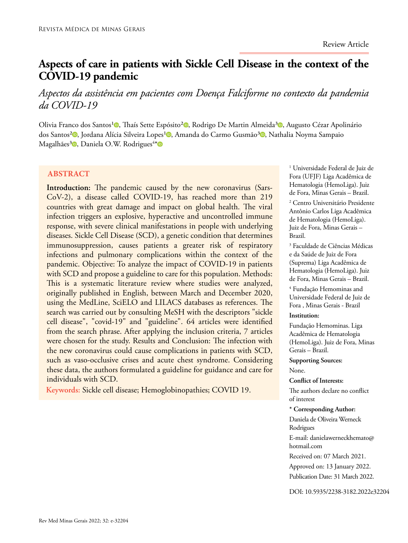# **Aspects of care in patients with Sickle Cell Disease in the context of the COVID-19 pandemic**

# *Aspectos da assistência em pacientes com Doença Falciforme no contexto da pandemia da COVID-19*

Olivia Franco dos Santos<sup>1</sup><sup>0</sup>[,](https://orcid.org/0000-0001-9095-0584) Thaís Sette Espósito<sup>2</sup><sup>0</sup>, Rodrigo De Martin Almeida<sup>3</sup><sup>0</sup>, Augusto Cézar Apolinário dos Santos<sup>2</sup><sup>0</sup>[,](https://orcid.org/0000-0002-4651-8273) Jordana Alícia Silveira Lopes<sup>1</sup><sup>0</sup>, Amanda do Carmo Gusmão<sup>3</sup><sup>0</sup>, Nathalia Noyma Sampaio Magalhães<sup>3</sup>®, Daniela O.W. Rodrigues<sup>4∗</sup>

## **ABSTRACT**

**Introduction:** The pandemic caused by the new coronavirus (Sars-CoV-2), a disease called COVID-19, has reached more than 219 countries with great damage and impact on global health. The viral infection triggers an explosive, hyperactive and uncontrolled immune response, with severe clinical manifestations in people with underlying diseases. Sickle Cell Disease (SCD), a genetic condition that determines immunosuppression, causes patients a greater risk of respiratory infections and pulmonary complications within the context of the pandemic. Objective: To analyze the impact of COVID-19 in patients with SCD and propose a guideline to care for this population. Methods: This is a systematic literature review where studies were analyzed, originally published in English, between March and December 2020, using the MedLine, SciELO and LILACS databases as references. The search was carried out by consulting MeSH with the descriptors "sickle cell disease", "covid-19" and "guideline". 64 articles were identified from the search phrase. After applying the inclusion criteria, 7 articles were chosen for the study. Results and Conclusion: The infection with the new coronavirus could cause complications in patients with SCD, such as vaso-occlusive crises and acute chest syndrome. Considering these data, the authors formulated a guideline for guidance and care for individuals with SCD.

**Keywords:** Sickle cell disease; Hemoglobinopathies; COVID 19.

1 Universidade Federal de Juiz de Fora (UFJF) Liga Acadêmica de Hematologia (HemoLiga). Juiz de Fora, Minas Gerais – Brazil.

2 Centro Universitário Presidente Antônio Carlos Liga Acadêmica de Hematologia (HemoLiga). Juiz de Fora, Minas Gerais – Brazil.

3 Faculdade de Ciências Médicas e da Saúde de Juiz de Fora (Suprema) Liga Acadêmica de Hematologia (HemoLiga). Juiz de Fora, Minas Gerais – Brazil.

4 Fundação Hemominas and Universidade Federal de Juiz de Fora , Minas Gerais - Brazil

## **Institution:**

Fundação Hemominas. Liga Acadêmica de Hematologia (HemoLiga). Juiz de Fora, Minas Gerais – Brazil.

**Supporting Sources:** None.

#### **Conflict of Interests:**

The authors declare no conflict of interest

#### **\* Corresponding Author:**

Daniela de Oliveira Werneck Rodrigues

E-mail: danielawerneckhemato@ hotmail.com

Received on: 07 March 2021.

Approved on: 13 January 2022. Publication Date: 31 March 2022.

DOI: 10.5935/2238-3182.2022e32204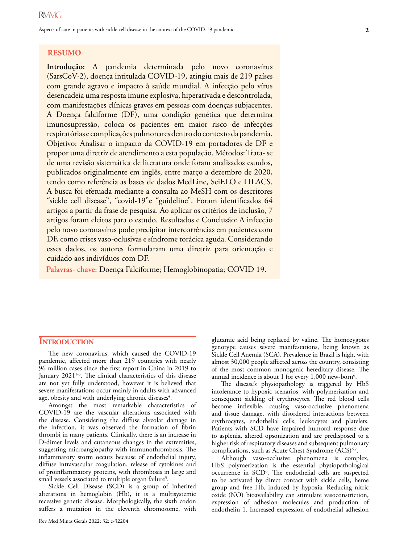**Introdução:** A pandemia determinada pelo novo coronavírus (SarsCoV-2), doença intitulada COVID-19, atingiu mais de 219 países com grande agravo e impacto à saúde mundial. A infecção pelo vírus desencadeia uma resposta imune explosiva, hiperativada e descontrolada, com manifestações clínicas graves em pessoas com doenças subjacentes. A Doença falciforme (DF), uma condição genética que determina imunosupressão, coloca os pacientes em maior risco de infecções respiratórias e complicações pulmonares dentro do contexto da pandemia. Objetivo: Analisar o impacto da COVID-19 em portadores de DF e propor uma diretriz de atendimento a esta população. Métodos: Trata- se de uma revisão sistemática de literatura onde foram analisados estudos, publicados originalmente em inglês, entre março a dezembro de 2020, tendo como referência as bases de dados MedLine, SciELO e LILACS. A busca foi efetuada mediante a consulta ao MeSH com os descritores "sickle cell disease", "covid-19"e "guideline". Foram identificados 64 artigos a partir da frase de pesquisa. Ao aplicar os critérios de inclusão, 7 artigos foram eleitos para o estudo. Resultados e Conclusão: A infecção pelo novo coronavírus pode precipitar intercorrências em pacientes com DF, como crises vaso-oclusivas e síndrome torácica aguda. Considerando esses dados, os autores formularam uma diretriz para orientação e cuidado aos indivíduos com DF.

**Palavras- chave:** Doença Falciforme; Hemoglobinopatia; COVID 19.

# **INTRODUCTION**

The new coronavirus, which caused the COVID-19 pandemic, affected more than 219 countries with nearly 96 million cases since the first report in China in 2019 to January 2021<sup>1-3</sup>. The clinical characteristics of this disease are not yet fully understood, however it is believed that severe manifestations occur mainly in adults with advanced age, obesity and with underlying chronic diseases<sup>4</sup>.

Amongst the most remarkable characteristics of COVID-19 are the vascular alterations associated with the disease. Considering the diffuse alveolar damage in the infection, it was observed the formation of fibrin thrombi in many patients. Clinically, there is an increase in D-dimer levels and cutaneous changes in the extremities, suggesting microangiopathy with immunothrombosis. The inflammatory storm occurs because of endothelial injury, diffuse intravascular coagulation, release of cytokines and of proinflammatory proteins, with thrombosis in large and small vessels associated to multiple organ failure<sup>5</sup>.

Sickle Cell Disease (SCD) is a group of inherited alterations in hemoglobin (Hb), it is a multisystemic recessive genetic disease. Morphologically, the sixth codon suffers a mutation in the eleventh chromosome, with

Rev Med Minas Gerais 2022; 32: e-32204

glutamic acid being replaced by valine. The homozygotes genotype causes severe manifestations, being known as Sickle Cell Anemia (SCA). Prevalence in Brazil is high, with almost 30,000 people affected across the country, consisting of the most common monogenic hereditary disease. The annual incidence is about 1 for every  $1,000$  new-born<sup>6</sup>.

The disease's physiopathology is triggered by HbS intolerance to hypoxic scenarios, with polymerization and consequent sickling of erythrocytes. The red blood cells become inflexible, causing vaso-occlusive phenomena and tissue damage, with disordered interactions between erythrocytes, endothelial cells, leukocytes and platelets. Patients with SCD have impaired humoral response due to asplenia, altered opsonization and are predisposed to a higher risk of respiratory diseases and subsequent pulmonary complications, such as Acute Chest Syndrome (ACS)<sup>6,7</sup>.

Although vaso-occlusive phenomena is complex, HbS polymerization is the essential physiopathological occurrence in SCD<sup>6</sup>. The endothelial cells are suspected to be activated by direct contact with sickle cells, heme group and free Hb, induced by hypoxia. Reducing nitric oxide (NO) bioavailability can stimulate vasoconstriction, expression of adhesion molecules and production of endothelin 1. Increased expression of endothelial adhesion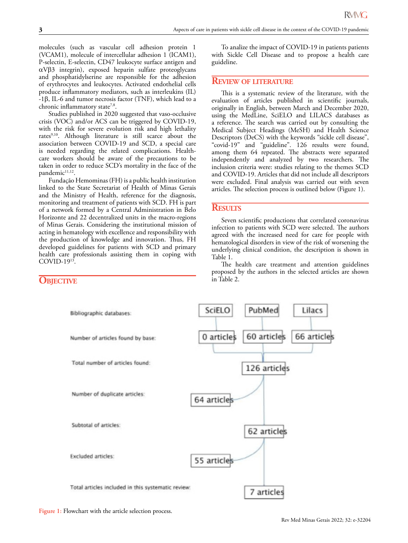molecules (such as vascular cell adhesion protein 1 (VCAM1), molecule of intercellular adhesion 1 (ICAM1), P-selectin, E-selectin, CD47 leukocyte surface antigen and αVβ3 integrin), exposed heparin sulfate proteoglycans and phosphatidylserine are responsible for the adhesion of erythrocytes and leukocytes. Activated endothelial cells produce inflammatory mediators, such as interleukins (IL) -1β, IL-6 and tumor necrosis factor (TNF), which lead to a chronic inflammatory state<sup>7,8</sup>.

Studies published in 2020 suggested that vaso-occlusive crisis (VOC) and/or ACS can be triggered by COVID-19, with the risk for severe evolution risk and high lethality rates<sup>9,10</sup>. Although literature is still scarce about the association between COVID-19 and SCD, a special care is needed regarding the related complications. Healthcare workers should be aware of the precautions to be taken in order to reduce SCD's mortality in the face of the pandemic<sup>11,12</sup>.

Fundação Hemominas (FH) is a public health institution linked to the State Secretariat of Health of Minas Gerais and the Ministry of Health, reference for the diagnosis, monitoring and treatment of patients with SCD. FH is part of a network formed by a Central Administration in Belo Horizonte and 22 decentralized units in the macro-regions of Minas Gerais. Considering the institutional mission of acting in hematology with excellence and responsibility with the production of knowledge and innovation. Thus, FH developed guidelines for patients with SCD and primary health care professionals assisting them in coping with COVID-1913.

To analize the impact of COVID-19 in patients patients with Sickle Cell Disease and to propose a health care guideline.

#### **Review of literature**

This is a systematic review of the literature, with the evaluation of articles published in scientific journals, originally in English, between March and December 2020, using the MedLine, SciELO and LILACS databases as a reference. The search was carried out by consulting the Medical Subject Headings (MeSH) and Health Science Descriptors (DeCS) with the keywords "sickle cell disease", "covid-19" and "guideline". 126 results were found, among them 64 repeated. The abstracts were separated independently and analyzed by two researchers. The inclusion criteria were: studies relating to the themes SCD and COVID-19. Articles that did not include all descriptors were excluded. Final analysis was carried out with seven articles. The selection process is outlined below (Figure 1).

#### **Results**

Seven scientific productions that correlated coronavirus infection to patients with SCD were selected. The authors agreed with the increased need for care for people with hematological disorders in view of the risk of worsening the underlying clinical condition, the description is shown in Table 1.

The health care treatment and attention guidelines proposed by the authors in the selected articles are shown in Table 2.



# **OBJECTIVE**

Figure 1: Flowchart with the article selection process.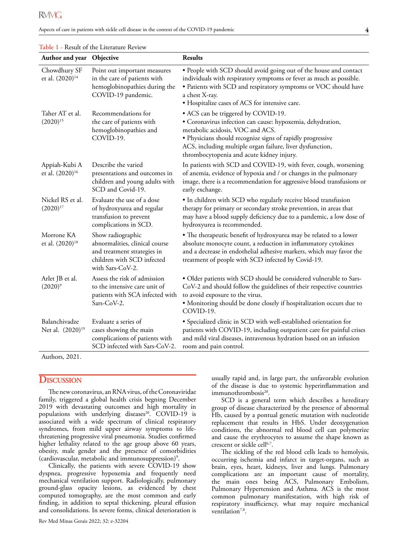| Author and year Objective                     |                                                                                                                                      | <b>Results</b>                                                                                                                                                                                                                                                                                                |
|-----------------------------------------------|--------------------------------------------------------------------------------------------------------------------------------------|---------------------------------------------------------------------------------------------------------------------------------------------------------------------------------------------------------------------------------------------------------------------------------------------------------------|
| Chowdhury SF<br>et al. (2020) <sup>14</sup>   | Point out important measures<br>in the care of patients with<br>hemoglobinopathies during the<br>COVID-19 pandemic.                  | . People with SCD should avoid going out of the house and contact<br>individuals with respiratory symptoms or fever as much as possible.<br>· Patients with SCD and respiratory symptoms or VOC should have<br>a chest X-ray.<br>• Hospitalize cases of ACS for intensive care.                               |
| Taher AT et al.<br>$(2020)^{15}$              | Recommendations for<br>the care of patients with<br>hemoglobinopathies and<br>COVID-19.                                              | • ACS can be triggered by COVID-19.<br>· Coronavirus infection can cause: hypoxemia, dehydration,<br>metabolic acidosis, VOC and ACS.<br>• Physicians should recognize signs of rapidly progressive<br>ACS, including multiple organ failure, liver dysfunction,<br>thrombocytopenia and acute kidney injury. |
| Appiah-Kubi A<br>et al. (2020) <sup>16</sup>  | Describe the varied<br>presentations and outcomes in<br>children and young adults with<br>SCD and Covid-19.                          | In patients with SCD and COVID-19, with fever, cough, worsening<br>of anemia, evidence of hypoxia and / or changes in the pulmonary<br>image, there is a recommendation for aggressive blood transfusions or<br>early exchange.                                                                               |
| Nickel RS et al.<br>$(2020)^{17}$             | Evaluate the use of a dose<br>of hydroxyurea and regular<br>transfusion to prevent<br>complications in SCD.                          | • In children with SCD who regularly receive blood transfusion<br>therapy for primary or secondary stroke prevention, in areas that<br>may have a blood supply deficiency due to a pandemic, a low dose of<br>hydroxyurea is recommended.                                                                     |
| Morrone KA<br>et al. (2020) <sup>18</sup>     | Show radiographic<br>abnormalities, clinical course<br>and treatment strategies in<br>children with SCD infected<br>with Sars-CoV-2. | · The therapeutic benefit of hydroxyurea may be related to a lower<br>absolute monocyte count, a reduction in inflammatory cytokines<br>and a decrease in endothelial adhesive markers, which may favor the<br>treatment of people with SCD infected by Covid-19.                                             |
| Arlet JB et al.<br>$(2020)^9$                 | Assess the risk of admission<br>to the intensive care unit of<br>patients with SCA infected with<br>Sars-CoV-2.                      | · Older patients with SCD should be considered vulnerable to Sars-<br>CoV-2 and should follow the guidelines of their respective countries<br>to avoid exposure to the virus.<br>· Monitoring should be done closely if hospitalization occurs due to<br>COVID-19.                                            |
| Balanchivadze<br>Net al. (2020) <sup>19</sup> | Evaluate a series of<br>cases showing the main<br>complications of patients with<br>SCD infected with Sars-CoV-2.                    | • Specialized clinic in SCD with well-established orientation for<br>patients with COVID-19, including outpatient care for painful crises<br>and mild viral diseases, intravenous hydration based on an infusion<br>room and pain control.                                                                    |

| Table 1 - Result of the Literature Review |  |
|-------------------------------------------|--|
|-------------------------------------------|--|

Authors, 2021.

# **Discussion**

The new coronavirus, an RNA virus, of the Coronaviridae family, triggered a global health crisis begning December 2019 with devastating outcomes and high mortality in populations with underlying diseases<sup>20</sup>. COVID-19 is associated with a wide spectrum of clinical respiratory syndromes, from mild upper airway symptoms to lifethreatening progressive viral pneumonia. Studies confirmed higher lethality related to the age group above 60 years, obesity, male gender and the presence of comorbidities (cardiovascular, metabolic and immunosuppression)9 .

Clinically, the patients with severe COVID-19 show dyspnea, progressive hypoxemia and frequently need mechanical ventilation support. Radiologically, pulmonary ground-glass opacity lesions, as evidenced by chest computed tomography, are the most common and early finding, in addition to septal thickening, pleural effusion and consolidations. In severe forms, clinical deterioration is

usually rapid and, in large part, the unfavorable evolution of the disease is due to systemic hyperinflammation and immunothrombosis<sup>20</sup>.

SCD is a general term which describes a hereditary group of disease characterized by the presence of abnormal Hb, caused by a pontual genetic mutation with nucleotide replacement that results in HbS. Under deoxygenation conditions, the abnormal red blood cell can polymerize and cause the erythrocytes to assume the shape known as crescent or sickle cell<sup>6,7</sup>.

The sickling of the red blood cells leads to hemolysis, occurring ischemia and infarct in target-organs, such as brain, eyes, heart, kidneys, liver and lungs. Pulmonary complications are an important cause of mortality, the main ones being ACS, Pulmonary Embolism, Pulmonary Hypertension and Asthma. ACS is the most common pulmonary manifestation, with high risk of respiratory insufficiency, what may require mechanical ventilation<sup>7,8</sup>.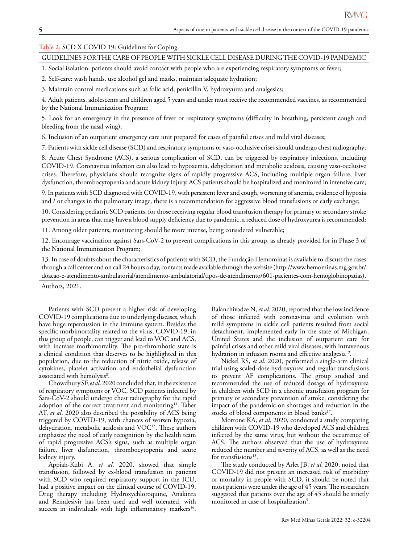#### **Table 2:** SCD X COVID 19: Guidelines for Coping.

## GUIDELINES FOR THE CARE OF PEOPLE WITH SICKLE CELL DISEASE DURING THE COVID-19 PANDEMIC

1. Social isolation: patients should avoid contact with people who are experiencing respiratory symptoms or fever;

2. Self-care: wash hands, use alcohol gel and masks, maintain adequate hydration;

3. Maintain control medications such as folic acid, penicillin V, hydroxyurea and analgesics;

4. Adult patients, adolescents and children aged 5 years and under must receive the recommended vaccines, as recommended by the National Immunization Program;

5. Look for an emergency in the presence of fever or respiratory symptoms (difficulty in breathing, persistent cough and bleeding from the nasal wing);

6. Inclusion of an outpatient emergency care unit prepared for cases of painful crises and mild viral diseases;

7. Patients with sickle cell disease (SCD) and respiratory symptoms or vaso-occlusive crises should undergo chest radiography;

8. Acute Chest Syndrome (ACS), a serious complication of SCD, can be triggered by respiratory infections, including COVID-19. Coronavirus infection can also lead to hypoxemia, dehydration and metabolic acidosis, causing vaso-occlusive crises. Therefore, physicians should recognize signs of rapidly progressive ACS, including multiple organ failure, liver dysfunction, thrombocytopenia and acute kidney injury. ACS patients should be hospitalized and monitored in intensive care;

9. In patients with SCD diagnosed with COVID-19, with persistent fever and cough, worsening of anemia, evidence of hypoxia and / or changes in the pulmonary image, there is a recommendation for aggressive blood transfusions or early exchange;

10. Considering pediatric SCD patients, for those receiving regular blood transfusion therapy for primary or secondary stroke prevention in areas that may have a blood supply deficiency due to pandemic, a reduced dose of hydroxyurea is recommended;

11. Among older patients, monitoring should be more intense, being considered vulnerable;

12. Encourage vaccination against Sars-CoV-2 to prevent complications in this group, as already provided for in Phase 3 of the National Immunization Program;

13. In case of doubts about the characteristics of patients with SCD, the Fundação Hemominas is available to discuss the cases through a call center and on call 24 hours a day, contacts made available through the website (http://www.hemominas.mg.gov.br/ doacao-e-atendimento-ambulatorial/atendimento-ambulatorial/tipos-de-atendimento/601-pacientes-com-hemoglobinopatias).

Authors, 2021.

Patients with SCD present a higher risk of developing COVID-19 complications due to underlying diseases, which have huge repercussion in the immune system. Besides the specific morbimortality related to the virus, COVID-19, in this group of people, can trigger and lead to VOC and ACS, with increase morbimortality. The pro-thrombotic state is a clinical condition that deserves to be highlighted in this population, due to the reduction of nitric oxide, release of cytokines, platelet activation and endothelial dysfunction associated with hemolysis<sup>8</sup>.

Chowdhury SF, *et al*. 2020 concluded that, in the existence of respiratory symptoms or VOC, SCD patients infected by Sars-CoV-2 should undergo chest radiography for the rapid adoption of the correct treatment and monitoring<sup>14</sup>. Taher AT, *et al*. 2020 also described the possibility of ACS being triggered by COVID-19, with chances of worsen hypoxia, dehydration, metabolic acidosis and VOC<sup>15</sup>. These authors emphasize the need of early recognition by the health team of rapid progressive ACS's signs, such as multiple organ failure, liver disfunction, thrombocytopenia and acute kidney injury.

Appiah-Kubi A, *et al*. 2020, showed that simple transfusion, followed by ex-blood transfusion in patients with SCD who required respiratory support in the ICU, had a positive impact on the clinical course of COVID-19. Drug therapy including Hydroxychloroquine, Anakinra and Remdesivir has been used and well tolerated, with success in individuals with high inflammatory markers<sup>16</sup>.

Balanchivadze N, *et al*. 2020, reported that the low incidence of those infected with coronavirus and evolution with mild symptoms in sickle cell patients resulted from social detachment, implemented early in the state of Michigan, United States and the inclusion of outpatient care for painful crises and other mild viral diseases, with intravenous hydration in infusion rooms and effective analgesia<sup>19</sup>.

Nickel RS, *et al*. 2020, performed a single-arm clinical trial using scaled-dose hydroxyurea and regular transfusions to prevent AF complications. The group studied and recommended the use of reduced dosage of hydroxyurea in children with SCD in a chronic transfusion program for primary or secondary prevention of stroke, considering the impact of the pandemic on shortages and reduction in the stocks of blood components in blood banks<sup>17</sup>.

Morrone KA, *et al*. 2020, conducted a study comparing children with COVID-19 who developed ACS and children infected by the same virus, but without the occurrence of ACS. The authors observed that the use of hydroxyurea reduced the number and severity of ACS, as well as the need for transfusions<sup>18</sup>.

The study conducted by Arlet JB, *et al*. 2020, noted that COVID-19 did not present an increased risk of morbidity or mortality in people with SCD, it should be noted that most patients were under the age of 45 years. The researchers suggested that patients over the age of 45 should be strictly monitored in case of hospitalization<sup>9</sup>.